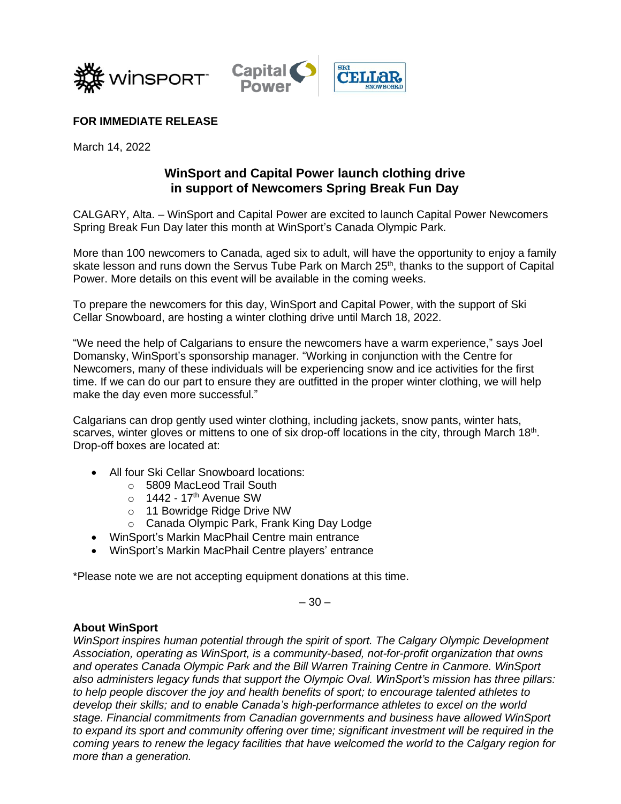



## **FOR IMMEDIATE RELEASE**

March 14, 2022

## **WinSport and Capital Power launch clothing drive in support of Newcomers Spring Break Fun Day**

CALGARY, Alta. – WinSport and Capital Power are excited to launch Capital Power Newcomers Spring Break Fun Day later this month at WinSport's Canada Olympic Park.

More than 100 newcomers to Canada, aged six to adult, will have the opportunity to enjoy a family skate lesson and runs down the Servus Tube Park on March  $25<sup>th</sup>$ , thanks to the support of Capital Power. More details on this event will be available in the coming weeks.

To prepare the newcomers for this day, WinSport and Capital Power, with the support of Ski Cellar Snowboard, are hosting a winter clothing drive until March 18, 2022.

"We need the help of Calgarians to ensure the newcomers have a warm experience," says Joel Domansky, WinSport's sponsorship manager. "Working in conjunction with the Centre for Newcomers, many of these individuals will be experiencing snow and ice activities for the first time. If we can do our part to ensure they are outfitted in the proper winter clothing, we will help make the day even more successful."

Calgarians can drop gently used winter clothing, including jackets, snow pants, winter hats, scarves, winter gloves or mittens to one of six drop-off locations in the city, through March 18<sup>th</sup>. Drop-off boxes are located at:

- All four Ski Cellar Snowboard locations:
	- o 5809 MacLeod Trail South
	- $\circ$  1442 17<sup>th</sup> Avenue SW
	- o 11 Bowridge Ridge Drive NW
	- o Canada Olympic Park, Frank King Day Lodge
- WinSport's Markin MacPhail Centre main entrance
- WinSport's Markin MacPhail Centre players' entrance

\*Please note we are not accepting equipment donations at this time.

 $-30-$ 

## **About WinSport**

*WinSport inspires human potential through the spirit of sport. The Calgary Olympic Development Association, operating as WinSport, is a community-based, not-for-profit organization that owns and operates Canada Olympic Park and the Bill Warren Training Centre in Canmore. WinSport also administers legacy funds that support the Olympic Oval. WinSport's mission has three pillars: to help people discover the joy and health benefits of sport; to encourage talented athletes to develop their skills; and to enable Canada's high-performance athletes to excel on the world stage. Financial commitments from Canadian governments and business have allowed WinSport to expand its sport and community offering over time; significant investment will be required in the coming years to renew the legacy facilities that have welcomed the world to the Calgary region for more than a generation.*